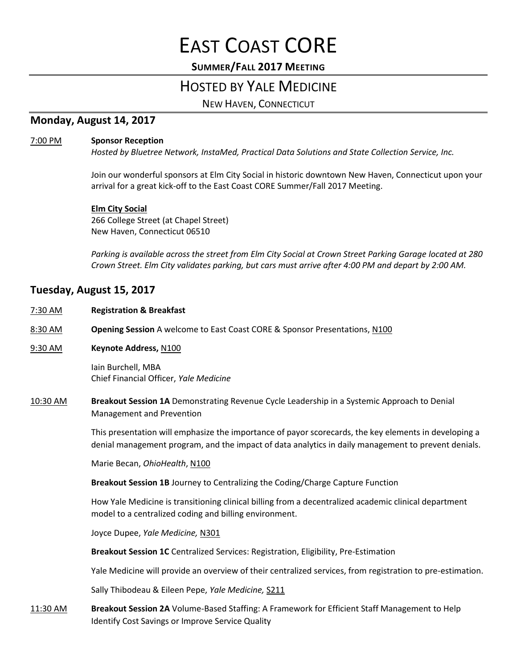# EAST COAST CORE

## **SUMMER/FALL 2017 MEETING**

## HOSTED BY YALE MEDICINE

NEW HAVEN, CONNECTICUT

## **Monday, August 14, 2017**

#### 7:00 PM **Sponsor Reception**

*Hosted by Bluetree Network, InstaMed, Practical Data Solutions and State Collection Service, Inc.*

Join our wonderful sponsors at Elm City Social in historic downtown New Haven, Connecticut upon your arrival for a great kick-off to the East Coast CORE Summer/Fall 2017 Meeting.

#### **Elm City Social**

266 College Street (at Chapel Street) New Haven, Connecticut 06510

*Parking is available across the street from Elm City Social at Crown Street Parking Garage located at 280 Crown Street. Elm City validates parking, but cars must arrive after 4:00 PM and depart by 2:00 AM.*

## **Tuesday, August 15, 2017**

- 7:30 AM **Registration & Breakfast**
- 8:30 AM **Opening Session** A welcome to East Coast CORE & Sponsor Presentations, N100
- 9:30 AM **Keynote Address,** N100

Iain Burchell, MBA Chief Financial Officer, *Yale Medicine*

10:30 AM **Breakout Session 1A** Demonstrating Revenue Cycle Leadership in a Systemic Approach to Denial Management and Prevention

> This presentation will emphasize the importance of payor scorecards, the key elements in developing a denial management program, and the impact of data analytics in daily management to prevent denials.

Marie Becan, *OhioHealth*, N100

**Breakout Session 1B** Journey to Centralizing the Coding/Charge Capture Function

How Yale Medicine is transitioning clinical billing from a decentralized academic clinical department model to a centralized coding and billing environment.

Joyce Dupee, *Yale Medicine,* N301

**Breakout Session 1C** Centralized Services: Registration, Eligibility, Pre-Estimation

Yale Medicine will provide an overview of their centralized services, from registration to pre-estimation.

Sally Thibodeau & Eileen Pepe, *Yale Medicine,* S211

11:30 AM **Breakout Session 2A** Volume-Based Staffing: A Framework for Efficient Staff Management to Help Identify Cost Savings or Improve Service Quality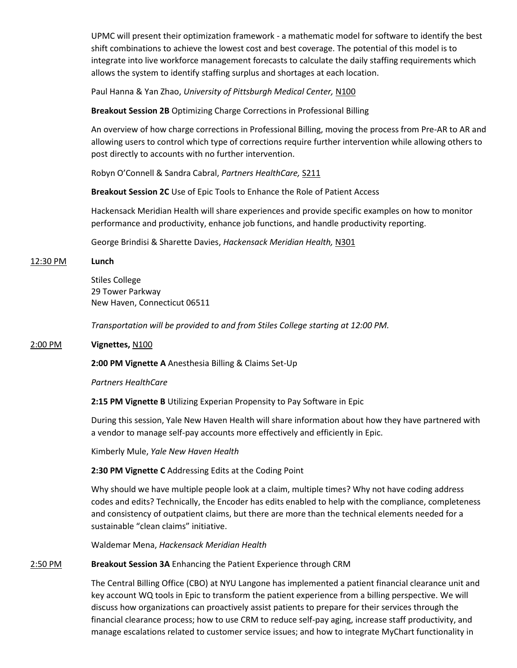UPMC will present their optimization framework - a mathematic model for software to identify the best shift combinations to achieve the lowest cost and best coverage. The potential of this model is to integrate into live workforce management forecasts to calculate the daily staffing requirements which allows the system to identify staffing surplus and shortages at each location.

Paul Hanna & Yan Zhao, *University of Pittsburgh Medical Center,* N100

**Breakout Session 2B** Optimizing Charge Corrections in Professional Billing

An overview of how charge corrections in Professional Billing, moving the process from Pre-AR to AR and allowing users to control which type of corrections require further intervention while allowing others to post directly to accounts with no further intervention.

Robyn O'Connell & Sandra Cabral, *Partners HealthCare,* S211

**Breakout Session 2C** Use of Epic Tools to Enhance the Role of Patient Access

Hackensack Meridian Health will share experiences and provide specific examples on how to monitor performance and productivity, enhance job functions, and handle productivity reporting.

George Brindisi & Sharette Davies, *Hackensack Meridian Health,* N301

#### 12:30 PM **Lunch**

Stiles College 29 Tower Parkway New Haven, Connecticut 06511

*Transportation will be provided to and from Stiles College starting at 12:00 PM.*

#### 2:00 PM **Vignettes,** N100

**2:00 PM Vignette A** Anesthesia Billing & Claims Set-Up

*Partners HealthCare*

**2:15 PM Vignette B** Utilizing Experian Propensity to Pay Software in Epic

During this session, Yale New Haven Health will share information about how they have partnered with a vendor to manage self-pay accounts more effectively and efficiently in Epic.

Kimberly Mule, *Yale New Haven Health*

**2:30 PM Vignette C** Addressing Edits at the Coding Point

Why should we have multiple people look at a claim, multiple times? Why not have coding address codes and edits? Technically, the Encoder has edits enabled to help with the compliance, completeness and consistency of outpatient claims, but there are more than the technical elements needed for a sustainable "clean claims" initiative.

Waldemar Mena, *Hackensack Meridian Health*

#### 2:50 PM **Breakout Session 3A** Enhancing the Patient Experience through CRM

The Central Billing Office (CBO) at NYU Langone has implemented a patient financial clearance unit and key account WQ tools in Epic to transform the patient experience from a billing perspective. We will discuss how organizations can proactively assist patients to prepare for their services through the financial clearance process; how to use CRM to reduce self-pay aging, increase staff productivity, and manage escalations related to customer service issues; and how to integrate MyChart functionality in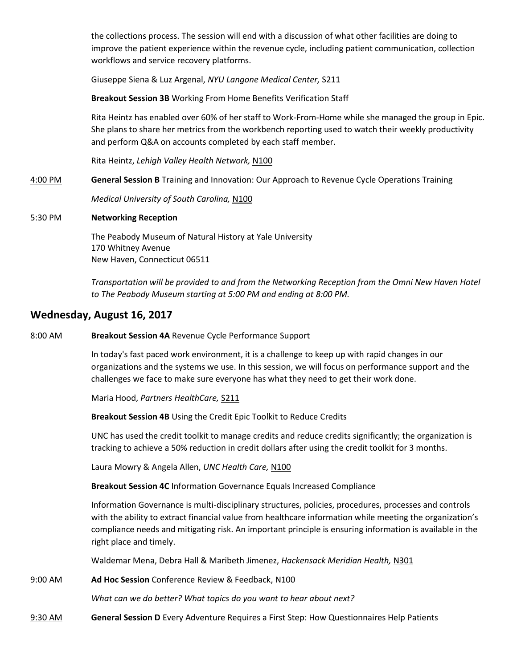the collections process. The session will end with a discussion of what other facilities are doing to improve the patient experience within the revenue cycle, including patient communication, collection workflows and service recovery platforms.

Giuseppe Siena & Luz Argenal, *NYU Langone Medical Center,* S211

**Breakout Session 3B** Working From Home Benefits Verification Staff

Rita Heintz has enabled over 60% of her staff to Work-From-Home while she managed the group in Epic. She plans to share her metrics from the workbench reporting used to watch their weekly productivity and perform Q&A on accounts completed by each staff member.

Rita Heintz, *Lehigh Valley Health Network,* N100

4:00 PM **General Session B** Training and Innovation: Our Approach to Revenue Cycle Operations Training

*Medical University of South Carolina,* N100

#### 5:30 PM **Networking Reception**

The Peabody Museum of Natural History at Yale University 170 Whitney Avenue New Haven, Connecticut 06511

*Transportation will be provided to and from the Networking Reception from the Omni New Haven Hotel to The Peabody Museum starting at 5:00 PM and ending at 8:00 PM.*

## **Wednesday, August 16, 2017**

8:00 AM **Breakout Session 4A** Revenue Cycle Performance Support

In today's fast paced work environment, it is a challenge to keep up with rapid changes in our organizations and the systems we use. In this session, we will focus on performance support and the challenges we face to make sure everyone has what they need to get their work done.

Maria Hood, *Partners HealthCare,* S211

**Breakout Session 4B** Using the Credit Epic Toolkit to Reduce Credits

UNC has used the credit toolkit to manage credits and reduce credits significantly; the organization is tracking to achieve a 50% reduction in credit dollars after using the credit toolkit for 3 months.

Laura Mowry & Angela Allen, *UNC Health Care,* N100

**Breakout Session 4C** Information Governance Equals Increased Compliance

Information Governance is multi-disciplinary structures, policies, procedures, processes and controls with the ability to extract financial value from healthcare information while meeting the organization's compliance needs and mitigating risk. An important principle is ensuring information is available in the right place and timely.

Waldemar Mena, Debra Hall & Maribeth Jimenez, *Hackensack Meridian Health,* N301

9:00 AM **Ad Hoc Session** Conference Review & Feedback, N100

*What can we do better? What topics do you want to hear about next?*

9:30 AM **General Session D** Every Adventure Requires a First Step: How Questionnaires Help Patients